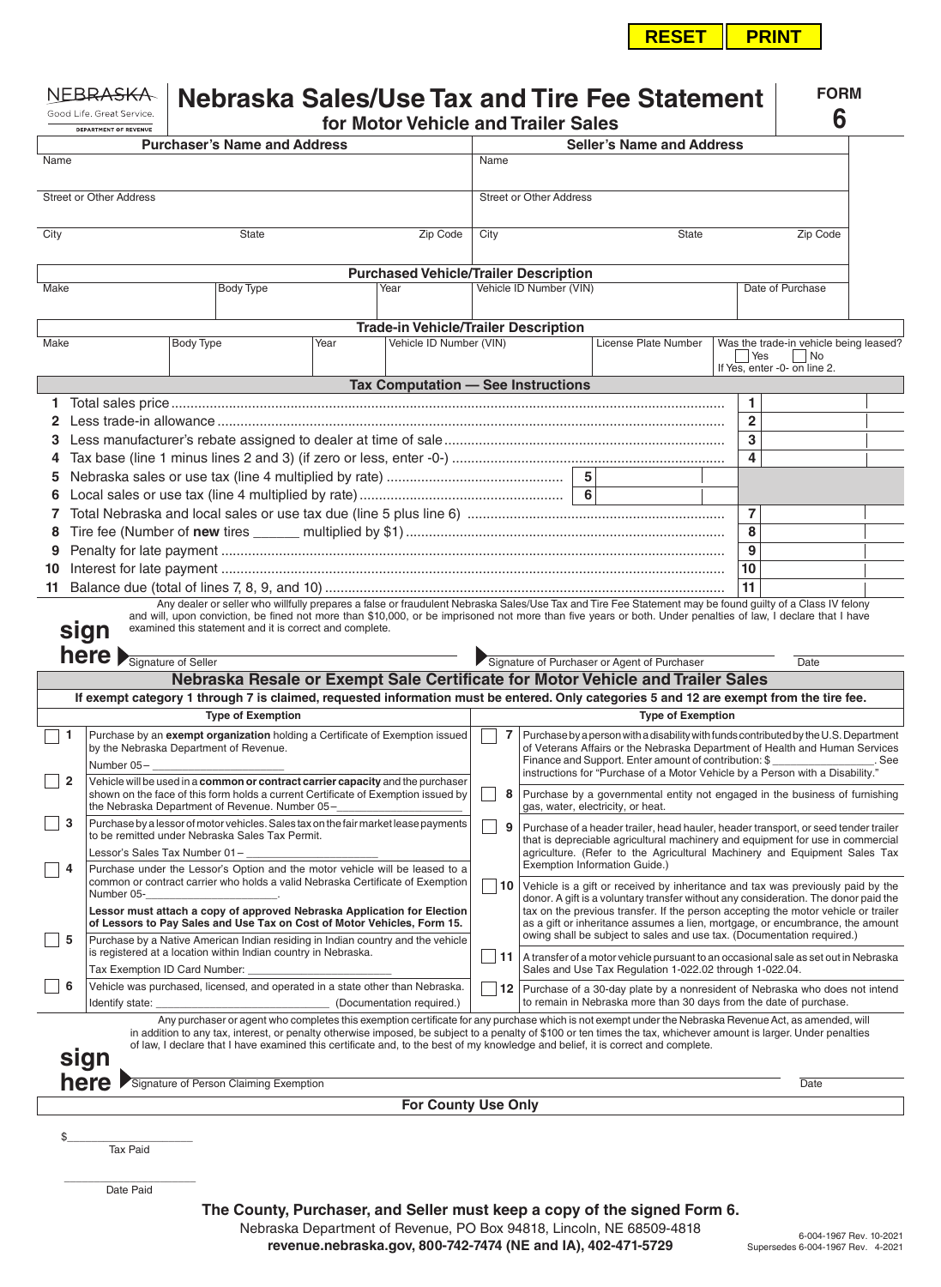**RESET PRINT**

| <b>NEBRASKA</b><br>Good Life, Great Service,<br><b>DEPARTMENT OF REVENUE</b> |                                                                                                                                        | Nebraska Sales/Use Tax and Tire Fee Statement<br>for Motor Vehicle and Trailer Sales                                                                                                                                   |                                        |                                                                                                                                                                        |                                                                                                                                                                                                                                                                                                                                                                                                                                                                 |  |                                                                                                                                                                                                                                               |                                                                                                                                                                                                                                                                                                                             |                                                                                                                                                                   |                                  |  |                                                                                         |                  | <b>FORM</b><br>6 |  |  |
|------------------------------------------------------------------------------|----------------------------------------------------------------------------------------------------------------------------------------|------------------------------------------------------------------------------------------------------------------------------------------------------------------------------------------------------------------------|----------------------------------------|------------------------------------------------------------------------------------------------------------------------------------------------------------------------|-----------------------------------------------------------------------------------------------------------------------------------------------------------------------------------------------------------------------------------------------------------------------------------------------------------------------------------------------------------------------------------------------------------------------------------------------------------------|--|-----------------------------------------------------------------------------------------------------------------------------------------------------------------------------------------------------------------------------------------------|-----------------------------------------------------------------------------------------------------------------------------------------------------------------------------------------------------------------------------------------------------------------------------------------------------------------------------|-------------------------------------------------------------------------------------------------------------------------------------------------------------------|----------------------------------|--|-----------------------------------------------------------------------------------------|------------------|------------------|--|--|
|                                                                              |                                                                                                                                        |                                                                                                                                                                                                                        | <b>Purchaser's Name and Address</b>    |                                                                                                                                                                        |                                                                                                                                                                                                                                                                                                                                                                                                                                                                 |  |                                                                                                                                                                                                                                               |                                                                                                                                                                                                                                                                                                                             |                                                                                                                                                                   | <b>Seller's Name and Address</b> |  |                                                                                         |                  |                  |  |  |
| Name                                                                         |                                                                                                                                        | Name                                                                                                                                                                                                                   |                                        |                                                                                                                                                                        |                                                                                                                                                                                                                                                                                                                                                                                                                                                                 |  |                                                                                                                                                                                                                                               |                                                                                                                                                                                                                                                                                                                             |                                                                                                                                                                   |                                  |  |                                                                                         |                  |                  |  |  |
|                                                                              |                                                                                                                                        |                                                                                                                                                                                                                        |                                        |                                                                                                                                                                        |                                                                                                                                                                                                                                                                                                                                                                                                                                                                 |  |                                                                                                                                                                                                                                               |                                                                                                                                                                                                                                                                                                                             |                                                                                                                                                                   |                                  |  |                                                                                         |                  |                  |  |  |
| <b>Street or Other Address</b>                                               |                                                                                                                                        |                                                                                                                                                                                                                        |                                        |                                                                                                                                                                        |                                                                                                                                                                                                                                                                                                                                                                                                                                                                 |  | <b>Street or Other Address</b>                                                                                                                                                                                                                |                                                                                                                                                                                                                                                                                                                             |                                                                                                                                                                   |                                  |  |                                                                                         |                  |                  |  |  |
| City<br>State                                                                |                                                                                                                                        |                                                                                                                                                                                                                        |                                        | Zip Code                                                                                                                                                               | City                                                                                                                                                                                                                                                                                                                                                                                                                                                            |  |                                                                                                                                                                                                                                               |                                                                                                                                                                                                                                                                                                                             | State                                                                                                                                                             |                                  |  | Zip Code                                                                                |                  |                  |  |  |
|                                                                              |                                                                                                                                        |                                                                                                                                                                                                                        |                                        |                                                                                                                                                                        |                                                                                                                                                                                                                                                                                                                                                                                                                                                                 |  |                                                                                                                                                                                                                                               |                                                                                                                                                                                                                                                                                                                             |                                                                                                                                                                   |                                  |  |                                                                                         |                  |                  |  |  |
| <b>Make</b>                                                                  |                                                                                                                                        |                                                                                                                                                                                                                        | Body Type                              |                                                                                                                                                                        | <b>Purchased Vehicle/Trailer Description</b><br>Year                                                                                                                                                                                                                                                                                                                                                                                                            |  | Vehicle ID Number (VIN)                                                                                                                                                                                                                       |                                                                                                                                                                                                                                                                                                                             |                                                                                                                                                                   |                                  |  |                                                                                         | Date of Purchase |                  |  |  |
|                                                                              |                                                                                                                                        |                                                                                                                                                                                                                        |                                        |                                                                                                                                                                        |                                                                                                                                                                                                                                                                                                                                                                                                                                                                 |  |                                                                                                                                                                                                                                               |                                                                                                                                                                                                                                                                                                                             |                                                                                                                                                                   |                                  |  |                                                                                         |                  |                  |  |  |
|                                                                              |                                                                                                                                        |                                                                                                                                                                                                                        |                                        |                                                                                                                                                                        | <b>Trade-in Vehicle/Trailer Description</b>                                                                                                                                                                                                                                                                                                                                                                                                                     |  |                                                                                                                                                                                                                                               |                                                                                                                                                                                                                                                                                                                             |                                                                                                                                                                   |                                  |  |                                                                                         |                  |                  |  |  |
| Make                                                                         |                                                                                                                                        | Body Type                                                                                                                                                                                                              |                                        | Year                                                                                                                                                                   | Vehicle ID Number (VIN)                                                                                                                                                                                                                                                                                                                                                                                                                                         |  |                                                                                                                                                                                                                                               |                                                                                                                                                                                                                                                                                                                             | License Plate Number                                                                                                                                              |                                  |  | Was the trade-in vehicle being leased?<br>  Yes<br>  No<br>If Yes, enter -0- on line 2. |                  |                  |  |  |
|                                                                              |                                                                                                                                        |                                                                                                                                                                                                                        |                                        |                                                                                                                                                                        | Tax Computation - See Instructions                                                                                                                                                                                                                                                                                                                                                                                                                              |  |                                                                                                                                                                                                                                               |                                                                                                                                                                                                                                                                                                                             |                                                                                                                                                                   |                                  |  |                                                                                         |                  |                  |  |  |
|                                                                              |                                                                                                                                        |                                                                                                                                                                                                                        |                                        |                                                                                                                                                                        |                                                                                                                                                                                                                                                                                                                                                                                                                                                                 |  |                                                                                                                                                                                                                                               |                                                                                                                                                                                                                                                                                                                             |                                                                                                                                                                   |                                  |  | 1.                                                                                      |                  |                  |  |  |
|                                                                              |                                                                                                                                        |                                                                                                                                                                                                                        |                                        |                                                                                                                                                                        |                                                                                                                                                                                                                                                                                                                                                                                                                                                                 |  |                                                                                                                                                                                                                                               |                                                                                                                                                                                                                                                                                                                             |                                                                                                                                                                   |                                  |  |                                                                                         |                  |                  |  |  |
| З                                                                            |                                                                                                                                        |                                                                                                                                                                                                                        |                                        |                                                                                                                                                                        |                                                                                                                                                                                                                                                                                                                                                                                                                                                                 |  |                                                                                                                                                                                                                                               |                                                                                                                                                                                                                                                                                                                             |                                                                                                                                                                   |                                  |  | 3                                                                                       |                  |                  |  |  |
| 4                                                                            |                                                                                                                                        |                                                                                                                                                                                                                        |                                        |                                                                                                                                                                        |                                                                                                                                                                                                                                                                                                                                                                                                                                                                 |  |                                                                                                                                                                                                                                               |                                                                                                                                                                                                                                                                                                                             |                                                                                                                                                                   |                                  |  | 4                                                                                       |                  |                  |  |  |
| 5                                                                            |                                                                                                                                        |                                                                                                                                                                                                                        |                                        |                                                                                                                                                                        |                                                                                                                                                                                                                                                                                                                                                                                                                                                                 |  |                                                                                                                                                                                                                                               |                                                                                                                                                                                                                                                                                                                             |                                                                                                                                                                   |                                  |  |                                                                                         |                  |                  |  |  |
| 6<br>7                                                                       |                                                                                                                                        |                                                                                                                                                                                                                        |                                        |                                                                                                                                                                        |                                                                                                                                                                                                                                                                                                                                                                                                                                                                 |  |                                                                                                                                                                                                                                               |                                                                                                                                                                                                                                                                                                                             |                                                                                                                                                                   |                                  |  | $\overline{7}$                                                                          |                  |                  |  |  |
| 8                                                                            |                                                                                                                                        |                                                                                                                                                                                                                        |                                        |                                                                                                                                                                        |                                                                                                                                                                                                                                                                                                                                                                                                                                                                 |  |                                                                                                                                                                                                                                               | 8                                                                                                                                                                                                                                                                                                                           |                                                                                                                                                                   |                                  |  |                                                                                         |                  |                  |  |  |
| 9                                                                            |                                                                                                                                        |                                                                                                                                                                                                                        |                                        |                                                                                                                                                                        |                                                                                                                                                                                                                                                                                                                                                                                                                                                                 |  |                                                                                                                                                                                                                                               | 9                                                                                                                                                                                                                                                                                                                           |                                                                                                                                                                   |                                  |  |                                                                                         |                  |                  |  |  |
| 10                                                                           |                                                                                                                                        |                                                                                                                                                                                                                        |                                        |                                                                                                                                                                        |                                                                                                                                                                                                                                                                                                                                                                                                                                                                 |  |                                                                                                                                                                                                                                               |                                                                                                                                                                                                                                                                                                                             |                                                                                                                                                                   |                                  |  | 10                                                                                      |                  |                  |  |  |
| 11                                                                           |                                                                                                                                        |                                                                                                                                                                                                                        |                                        |                                                                                                                                                                        |                                                                                                                                                                                                                                                                                                                                                                                                                                                                 |  |                                                                                                                                                                                                                                               | 11                                                                                                                                                                                                                                                                                                                          |                                                                                                                                                                   |                                  |  |                                                                                         |                  |                  |  |  |
|                                                                              | here Signature of Seller                                                                                                               |                                                                                                                                                                                                                        |                                        |                                                                                                                                                                        | Nebraska Resale or Exempt Sale Certificate for Motor Vehicle and Trailer Sales<br>If exempt category 1 through 7 is claimed, requested information must be entered. Only categories 5 and 12 are exempt from the tire fee.                                                                                                                                                                                                                                      |  |                                                                                                                                                                                                                                               |                                                                                                                                                                                                                                                                                                                             |                                                                                                                                                                   |                                  |  |                                                                                         |                  |                  |  |  |
|                                                                              |                                                                                                                                        |                                                                                                                                                                                                                        | <b>Type of Exemption</b>               |                                                                                                                                                                        |                                                                                                                                                                                                                                                                                                                                                                                                                                                                 |  |                                                                                                                                                                                                                                               |                                                                                                                                                                                                                                                                                                                             |                                                                                                                                                                   | <b>Type of Exemption</b>         |  |                                                                                         |                  |                  |  |  |
| -1                                                                           | Number 05-                                                                                                                             | Purchase by an exempt organization holding a Certificate of Exemption issued<br>by the Nebraska Department of Revenue.                                                                                                 |                                        |                                                                                                                                                                        |                                                                                                                                                                                                                                                                                                                                                                                                                                                                 |  |                                                                                                                                                                                                                                               | 7<br>Purchase by a person with a disability with funds contributed by the U.S. Department<br>of Veterans Affairs or the Nebraska Department of Health and Human Services<br>Finance and Support. Enter amount of contribution: \$<br>. See<br>instructions for "Purchase of a Motor Vehicle by a Person with a Disability." |                                                                                                                                                                   |                                  |  |                                                                                         |                  |                  |  |  |
| $\overline{2}$                                                               |                                                                                                                                        | Vehicle will be used in a common or contract carrier capacity and the purchaser<br>shown on the face of this form holds a current Certificate of Exemption issued by<br>the Nebraska Department of Revenue. Number 05- |                                        |                                                                                                                                                                        |                                                                                                                                                                                                                                                                                                                                                                                                                                                                 |  | Purchase by a governmental entity not engaged in the business of furnishing<br>gas, water, electricity, or heat.                                                                                                                              |                                                                                                                                                                                                                                                                                                                             |                                                                                                                                                                   |                                  |  |                                                                                         |                  |                  |  |  |
| 3                                                                            | Purchase by a lessor of motor vehicles. Sales tax on the fair market lease payments<br>to be remitted under Nebraska Sales Tax Permit. |                                                                                                                                                                                                                        | -9                                     | Purchase of a header trailer, head hauler, header transport, or seed tender trailer<br>that is depreciable agricultural machinery and equipment for use in commercial  |                                                                                                                                                                                                                                                                                                                                                                                                                                                                 |  |                                                                                                                                                                                                                                               |                                                                                                                                                                                                                                                                                                                             |                                                                                                                                                                   |                                  |  |                                                                                         |                  |                  |  |  |
| 4                                                                            | Lessor's Sales Tax Number 01–<br>Purchase under the Lessor's Option and the motor vehicle will be leased to a                          |                                                                                                                                                                                                                        |                                        | agriculture. (Refer to the Agricultural Machinery and Equipment Sales Tax<br>Exemption Information Guide.)                                                             |                                                                                                                                                                                                                                                                                                                                                                                                                                                                 |  |                                                                                                                                                                                                                                               |                                                                                                                                                                                                                                                                                                                             |                                                                                                                                                                   |                                  |  |                                                                                         |                  |                  |  |  |
|                                                                              | common or contract carrier who holds a valid Nebraska Certificate of Exemption<br>Number 05-                                           |                                                                                                                                                                                                                        | 10                                     | Vehicle is a gift or received by inheritance and tax was previously paid by the<br>donor. A gift is a voluntary transfer without any consideration. The donor paid the |                                                                                                                                                                                                                                                                                                                                                                                                                                                                 |  |                                                                                                                                                                                                                                               |                                                                                                                                                                                                                                                                                                                             |                                                                                                                                                                   |                                  |  |                                                                                         |                  |                  |  |  |
| 5                                                                            |                                                                                                                                        | Lessor must attach a copy of approved Nebraska Application for Election<br>of Lessors to Pay Sales and Use Tax on Cost of Motor Vehicles, Form 15.                                                                     |                                        |                                                                                                                                                                        |                                                                                                                                                                                                                                                                                                                                                                                                                                                                 |  | tax on the previous transfer. If the person accepting the motor vehicle or trailer<br>as a gift or inheritance assumes a lien, mortgage, or encumbrance, the amount<br>owing shall be subject to sales and use tax. (Documentation required.) |                                                                                                                                                                                                                                                                                                                             |                                                                                                                                                                   |                                  |  |                                                                                         |                  |                  |  |  |
|                                                                              |                                                                                                                                        | Purchase by a Native American Indian residing in Indian country and the vehicle<br>is registered at a location within Indian country in Nebraska.<br>Tax Exemption ID Card Number:                                     |                                        |                                                                                                                                                                        |                                                                                                                                                                                                                                                                                                                                                                                                                                                                 |  | A transfer of a motor vehicle pursuant to an occasional sale as set out in Nebraska<br>Sales and Use Tax Regulation 1-022.02 through 1-022.04.                                                                                                |                                                                                                                                                                                                                                                                                                                             |                                                                                                                                                                   |                                  |  |                                                                                         |                  |                  |  |  |
| 6                                                                            | Identify state:                                                                                                                        | Vehicle was purchased, licensed, and operated in a state other than Nebraska.<br>(Documentation required.)                                                                                                             |                                        |                                                                                                                                                                        |                                                                                                                                                                                                                                                                                                                                                                                                                                                                 |  |                                                                                                                                                                                                                                               |                                                                                                                                                                                                                                                                                                                             | $ 12\rangle$<br>Purchase of a 30-day plate by a nonresident of Nebraska who does not intend<br>to remain in Nebraska more than 30 days from the date of purchase. |                                  |  |                                                                                         |                  |                  |  |  |
|                                                                              | sign                                                                                                                                   |                                                                                                                                                                                                                        |                                        |                                                                                                                                                                        | Any purchaser or agent who completes this exemption certificate for any purchase which is not exempt under the Nebraska Revenue Act, as amended, will<br>in addition to any tax, interest, or penalty otherwise imposed, be subject to a penalty of \$100 or ten times the tax, whichever amount is larger. Under penalties<br>of law, I declare that I have examined this certificate and, to the best of my knowledge and belief, it is correct and complete. |  |                                                                                                                                                                                                                                               |                                                                                                                                                                                                                                                                                                                             |                                                                                                                                                                   |                                  |  |                                                                                         |                  |                  |  |  |
|                                                                              | here                                                                                                                                   |                                                                                                                                                                                                                        | Signature of Person Claiming Exemption |                                                                                                                                                                        |                                                                                                                                                                                                                                                                                                                                                                                                                                                                 |  |                                                                                                                                                                                                                                               |                                                                                                                                                                                                                                                                                                                             |                                                                                                                                                                   |                                  |  |                                                                                         | Date             |                  |  |  |
|                                                                              |                                                                                                                                        |                                                                                                                                                                                                                        |                                        |                                                                                                                                                                        | <b>For County Use Only</b>                                                                                                                                                                                                                                                                                                                                                                                                                                      |  |                                                                                                                                                                                                                                               |                                                                                                                                                                                                                                                                                                                             |                                                                                                                                                                   |                                  |  |                                                                                         |                  |                  |  |  |
|                                                                              |                                                                                                                                        |                                                                                                                                                                                                                        |                                        |                                                                                                                                                                        |                                                                                                                                                                                                                                                                                                                                                                                                                                                                 |  |                                                                                                                                                                                                                                               |                                                                                                                                                                                                                                                                                                                             |                                                                                                                                                                   |                                  |  |                                                                                         |                  |                  |  |  |
| \$                                                                           | <b>Tax Paid</b>                                                                                                                        |                                                                                                                                                                                                                        |                                        |                                                                                                                                                                        |                                                                                                                                                                                                                                                                                                                                                                                                                                                                 |  |                                                                                                                                                                                                                                               |                                                                                                                                                                                                                                                                                                                             |                                                                                                                                                                   |                                  |  |                                                                                         |                  |                  |  |  |
|                                                                              | Date Paid                                                                                                                              |                                                                                                                                                                                                                        |                                        |                                                                                                                                                                        |                                                                                                                                                                                                                                                                                                                                                                                                                                                                 |  |                                                                                                                                                                                                                                               |                                                                                                                                                                                                                                                                                                                             |                                                                                                                                                                   |                                  |  |                                                                                         |                  |                  |  |  |

**The County, Purchaser, and Seller must keep a copy of the signed Form 6.** Nebraska Department of Revenue, PO Box 94818, Lincoln, NE 68509-4818 **revenue.nebraska.gov, 800-742-7474 (NE and IA), 402-471-5729**